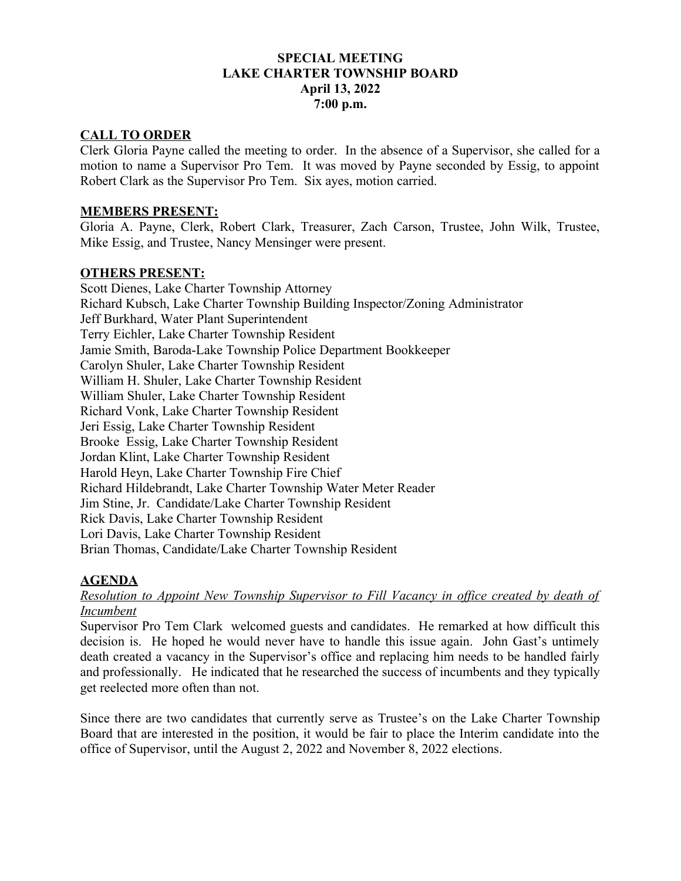## **SPECIAL MEETING LAKE CHARTER TOWNSHIP BOARD April 13, 2022 7:00 p.m.**

## **CALL TO ORDER**

Clerk Gloria Payne called the meeting to order. In the absence of a Supervisor, she called for a motion to name a Supervisor Pro Tem. It was moved by Payne seconded by Essig, to appoint Robert Clark as the Supervisor Pro Tem. Six ayes, motion carried.

#### **MEMBERS PRESENT:**

Gloria A. Payne, Clerk, Robert Clark, Treasurer, Zach Carson, Trustee, John Wilk, Trustee, Mike Essig, and Trustee, Nancy Mensinger were present.

## **OTHERS PRESENT:**

Scott Dienes, Lake Charter Township Attorney Richard Kubsch, Lake Charter Township Building Inspector/Zoning Administrator Jeff Burkhard, Water Plant Superintendent Terry Eichler, Lake Charter Township Resident Jamie Smith, Baroda-Lake Township Police Department Bookkeeper Carolyn Shuler, Lake Charter Township Resident William H. Shuler, Lake Charter Township Resident William Shuler, Lake Charter Township Resident Richard Vonk, Lake Charter Township Resident Jeri Essig, Lake Charter Township Resident Brooke Essig, Lake Charter Township Resident Jordan Klint, Lake Charter Township Resident Harold Heyn, Lake Charter Township Fire Chief Richard Hildebrandt, Lake Charter Township Water Meter Reader Jim Stine, Jr. Candidate/Lake Charter Township Resident Rick Davis, Lake Charter Township Resident Lori Davis, Lake Charter Township Resident Brian Thomas, Candidate/Lake Charter Township Resident

# **AGENDA**

*Resolution to Appoint New Township Supervisor to Fill Vacancy in office created by death of Incumbent*

Supervisor Pro Tem Clark welcomed guests and candidates. He remarked at how difficult this decision is. He hoped he would never have to handle this issue again. John Gast's untimely death created a vacancy in the Supervisor's office and replacing him needs to be handled fairly and professionally. He indicated that he researched the success of incumbents and they typically get reelected more often than not.

Since there are two candidates that currently serve as Trustee's on the Lake Charter Township Board that are interested in the position, it would be fair to place the Interim candidate into the office of Supervisor, until the August 2, 2022 and November 8, 2022 elections.